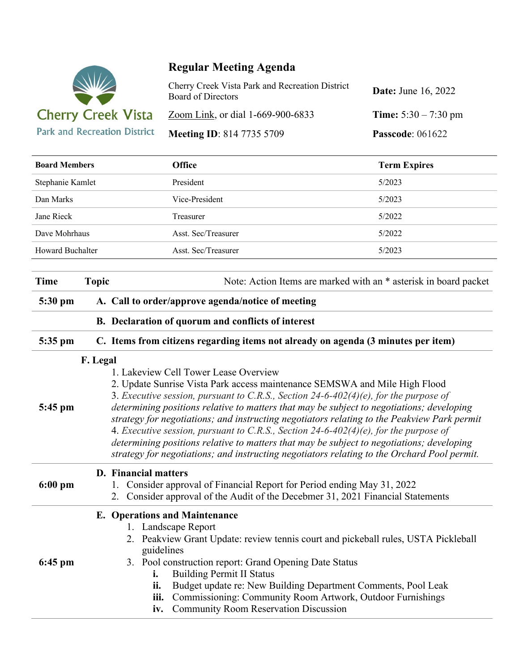

## **Regular Meeting Agenda**

| Cherry Creek Vista Park and Recreation District<br><b>Board of Directors</b> | <b>Date:</b> June 16, 2022    |
|------------------------------------------------------------------------------|-------------------------------|
| Zoom Link, or dial 1-669-900-6833                                            | <b>Time:</b> $5:30 - 7:30$ pm |
| <b>Meeting ID: 814 7735 5709</b>                                             | <b>Passcode:</b> 061622       |

| <b>Board Members</b> |                                                                                                                                                                                                                                                                                                                                                                                                                                                                                                                                                                                                                                                                                                         | <b>Office</b>                                                                                                                                                                                                           | <b>Term Expires</b>                                                                                                                                                                                               |  |
|----------------------|---------------------------------------------------------------------------------------------------------------------------------------------------------------------------------------------------------------------------------------------------------------------------------------------------------------------------------------------------------------------------------------------------------------------------------------------------------------------------------------------------------------------------------------------------------------------------------------------------------------------------------------------------------------------------------------------------------|-------------------------------------------------------------------------------------------------------------------------------------------------------------------------------------------------------------------------|-------------------------------------------------------------------------------------------------------------------------------------------------------------------------------------------------------------------|--|
| Stephanie Kamlet     |                                                                                                                                                                                                                                                                                                                                                                                                                                                                                                                                                                                                                                                                                                         | President                                                                                                                                                                                                               | 5/2023                                                                                                                                                                                                            |  |
| Dan Marks            |                                                                                                                                                                                                                                                                                                                                                                                                                                                                                                                                                                                                                                                                                                         | Vice-President                                                                                                                                                                                                          | 5/2023                                                                                                                                                                                                            |  |
| Jane Rieck           |                                                                                                                                                                                                                                                                                                                                                                                                                                                                                                                                                                                                                                                                                                         | Treasurer                                                                                                                                                                                                               | 5/2022                                                                                                                                                                                                            |  |
| Dave Mohrhaus        |                                                                                                                                                                                                                                                                                                                                                                                                                                                                                                                                                                                                                                                                                                         | Asst. Sec/Treasurer                                                                                                                                                                                                     | 5/2022                                                                                                                                                                                                            |  |
| Howard Buchalter     |                                                                                                                                                                                                                                                                                                                                                                                                                                                                                                                                                                                                                                                                                                         | Asst. Sec/Treasurer                                                                                                                                                                                                     | 5/2023                                                                                                                                                                                                            |  |
| <b>Time</b>          | Note: Action Items are marked with an * asterisk in board packet<br><b>Topic</b>                                                                                                                                                                                                                                                                                                                                                                                                                                                                                                                                                                                                                        |                                                                                                                                                                                                                         |                                                                                                                                                                                                                   |  |
| 5:30 pm              | A. Call to order/approve agenda/notice of meeting                                                                                                                                                                                                                                                                                                                                                                                                                                                                                                                                                                                                                                                       |                                                                                                                                                                                                                         |                                                                                                                                                                                                                   |  |
|                      | B. Declaration of quorum and conflicts of interest                                                                                                                                                                                                                                                                                                                                                                                                                                                                                                                                                                                                                                                      |                                                                                                                                                                                                                         |                                                                                                                                                                                                                   |  |
| 5:35 pm              | C. Items from citizens regarding items not already on agenda (3 minutes per item)                                                                                                                                                                                                                                                                                                                                                                                                                                                                                                                                                                                                                       |                                                                                                                                                                                                                         |                                                                                                                                                                                                                   |  |
| 5:45 pm              | F. Legal<br>1. Lakeview Cell Tower Lease Overview<br>2. Update Sunrise Vista Park access maintenance SEMSWA and Mile High Flood<br>3. Executive session, pursuant to C.R.S., Section 24-6-402(4)(e), for the purpose of<br>determining positions relative to matters that may be subject to negotiations; developing<br>strategy for negotiations; and instructing negotiators relating to the Peakview Park permit<br>4. Executive session, pursuant to C.R.S., Section 24-6-402(4)(e), for the purpose of<br>determining positions relative to matters that may be subject to negotiations; developing<br>strategy for negotiations; and instructing negotiators relating to the Orchard Pool permit. |                                                                                                                                                                                                                         |                                                                                                                                                                                                                   |  |
| $6:00$ pm            | <b>D.</b> Financial matters                                                                                                                                                                                                                                                                                                                                                                                                                                                                                                                                                                                                                                                                             | 1. Consider approval of Financial Report for Period ending May 31, 2022                                                                                                                                                 | 2. Consider approval of the Audit of the Decebmer 31, 2021 Financial Statements                                                                                                                                   |  |
| $6:45$ pm            | i.<br>ii.<br>iii.<br>iv.                                                                                                                                                                                                                                                                                                                                                                                                                                                                                                                                                                                                                                                                                | <b>E.</b> Operations and Maintenance<br>1. Landscape Report<br>guidelines<br>3. Pool construction report: Grand Opening Date Status<br><b>Building Permit II Status</b><br><b>Community Room Reservation Discussion</b> | 2. Peakview Grant Update: review tennis court and pickeball rules, USTA Pickleball<br>Budget update re: New Building Department Comments, Pool Leak<br>Commissioning: Community Room Artwork, Outdoor Furnishings |  |